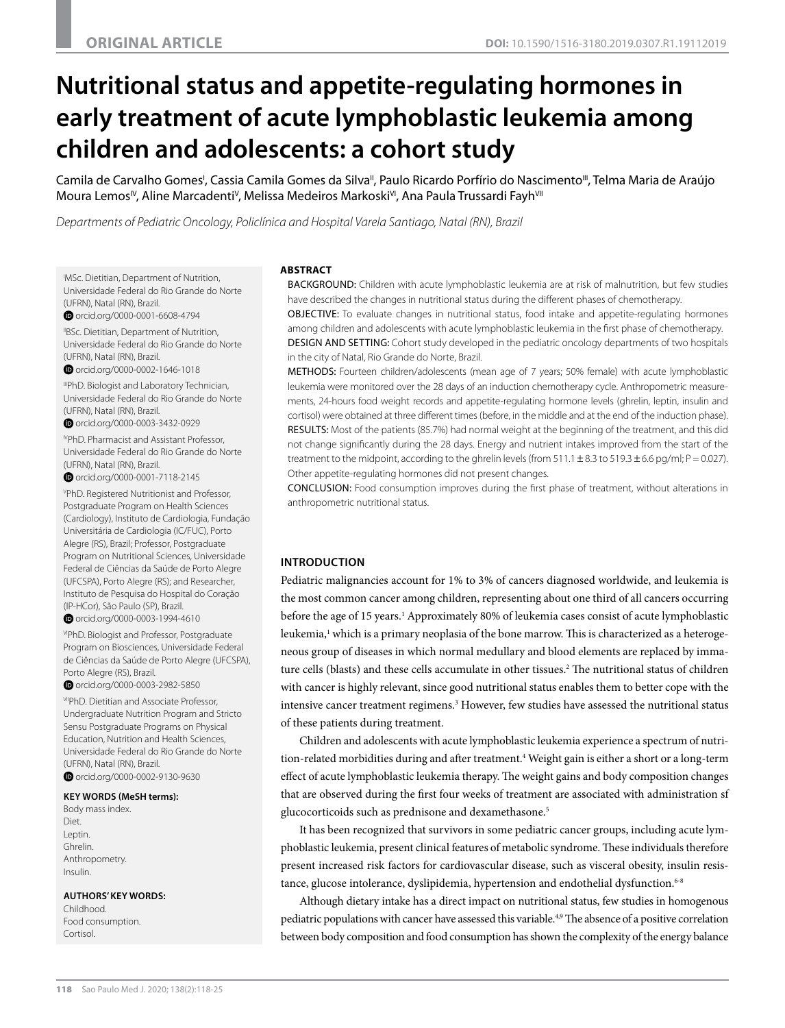# **Nutritional status and appetite-regulating hormones in early treatment of acute lymphoblastic leukemia among children and adolescents: a cohort study**

Camila de Carvalho Gomes', Cassia Camila Gomes da Silva", Paulo Ricardo Porfírio do Nascimento"', Telma Maria de Araújo Moura Lemos<sup>iv</sup>, Aline Marcadenti<sup>v</sup>, Melissa Medeiros Markoski<sup>vi</sup>, Ana Paula Trussardi Fayh<sup>vi</sup>

*Departments of Pediatric Oncology, Policlínica and Hospital Varela Santiago, Natal (RN), Brazil*

I MSc. Dietitian, Department of Nutrition, Universidade Federal do Rio Grande do Norte (UFRN), Natal (RN), Brazil.

O orcid.org/0000-0001-6608-4794

"BSc. Dietitian, Department of Nutrition, Universidade Federal do Rio Grande do Norte (UFRN), Natal (RN), Brazil.

O orcid.org/0000-0002-1646-1018

IIIPhD. Biologist and Laboratory Technician, Universidade Federal do Rio Grande do Norte (UFRN), Natal (RN), Brazil.

 [orcid.org/0000-0003-3432-0929](http://orcid.org/0000-0003-3432-0929) 

IVPhD. Pharmacist and Assistant Professor, Universidade Federal do Rio Grande do Norte (UFRN), Natal (RN), Brazil.

Orcid.org/0000-0001-7118-2145

V PhD. Registered Nutritionist and Professor, Postgraduate Program on Health Sciences (Cardiology), Instituto de Cardiologia, Fundação Universitária de Cardiologia (IC/FUC), Porto Alegre (RS), Brazil; Professor, Postgraduate Program on Nutritional Sciences, Universidade Federal de Ciências da Saúde de Porto Alegre (UFCSPA), Porto Alegre (RS); and Researcher, Instituto de Pesquisa do Hospital do Coração (IP-HCor), São Paulo (SP), Brazil.

O [orcid.org/0000-0003-1994-4610](http://orcid.org/0000-0003-1994-4610)

v<sub>PhD</sub>. Biologist and Professor, Postgraduate Program on Biosciences, Universidade Federal de Ciências da Saúde de Porto Alegre (UFCSPA), Porto Alegre (RS), Brazil.

O orcid.org/0000-0003-2982-5850

**VIIPhD.** Dietitian and Associate Professor, Undergraduate Nutrition Program and Stricto Sensu Postgraduate Programs on Physical Education, Nutrition and Health Sciences, Universidade Federal do Rio Grande do Norte (UFRN), Natal (RN), Brazil.  [orcid.org/0000-0002-9130-9630](http://orcid.org/0000-0002-9130-9630) 

**KEY WORDS (MeSH terms):**

Body mass index. Diet. Leptin. Ghrelin. Anthropometry. Insulin.

**AUTHORS' KEY WORDS:**

Childhood. Food consumption. Cortisol.

## **ABSTRACT**

BACKGROUND: Children with acute lymphoblastic leukemia are at risk of malnutrition, but few studies have described the changes in nutritional status during the different phases of chemotherapy. OBJECTIVE: To evaluate changes in nutritional status, food intake and appetite-regulating hormones among children and adolescents with acute lymphoblastic leukemia in the first phase of chemotherapy. DESIGN AND SETTING: Cohort study developed in the pediatric oncology departments of two hospitals in the city of Natal, Rio Grande do Norte, Brazil.

METHODS: Fourteen children/adolescents (mean age of 7 years; 50% female) with acute lymphoblastic leukemia were monitored over the 28 days of an induction chemotherapy cycle. Anthropometric measurements, 24-hours food weight records and appetite-regulating hormone levels (ghrelin, leptin, insulin and cortisol) were obtained at three different times (before, in the middle and at the end of the induction phase). RESULTS: Most of the patients (85.7%) had normal weight at the beginning of the treatment, and this did not change significantly during the 28 days. Energy and nutrient intakes improved from the start of the treatment to the midpoint, according to the ghrelin levels (from  $511.1 \pm 8.3$  to  $519.3 \pm 6.6$  pg/ml;  $P = 0.027$ ). Other appetite-regulating hormones did not present changes.

CONCLUSION: Food consumption improves during the first phase of treatment, without alterations in anthropometric nutritional status.

# **INTRODUCTION**

Pediatric malignancies account for 1% to 3% of cancers diagnosed worldwide, and leukemia is the most common cancer among children, representing about one third of all cancers occurring before the age of 15 years.<sup>1</sup> Approximately 80% of leukemia cases consist of acute lymphoblastic leukemia,<sup>1</sup> which is a primary neoplasia of the bone marrow. This is characterized as a heterogeneous group of diseases in which normal medullary and blood elements are replaced by immature cells (blasts) and these cells accumulate in other tissues.<sup>2</sup> The nutritional status of children with cancer is highly relevant, since good nutritional status enables them to better cope with the intensive cancer treatment regimens.<sup>3</sup> However, few studies have assessed the nutritional status of these patients during treatment.

Children and adolescents with acute lymphoblastic leukemia experience a spectrum of nutrition-related morbidities during and after treatment.<sup>4</sup> Weight gain is either a short or a long-term effect of acute lymphoblastic leukemia therapy. The weight gains and body composition changes that are observed during the first four weeks of treatment are associated with administration sf glucocorticoids such as prednisone and dexamethasone.<sup>5</sup>

It has been recognized that survivors in some pediatric cancer groups, including acute lymphoblastic leukemia, present clinical features of metabolic syndrome. These individuals therefore present increased risk factors for cardiovascular disease, such as visceral obesity, insulin resistance, glucose intolerance, dyslipidemia, hypertension and endothelial dysfunction.<sup>6-8</sup>

Although dietary intake has a direct impact on nutritional status, few studies in homogenous pediatric populations with cancer have assessed this variable.<sup>4,9</sup> The absence of a positive correlation between body composition and food consumption has shown the complexity of the energy balance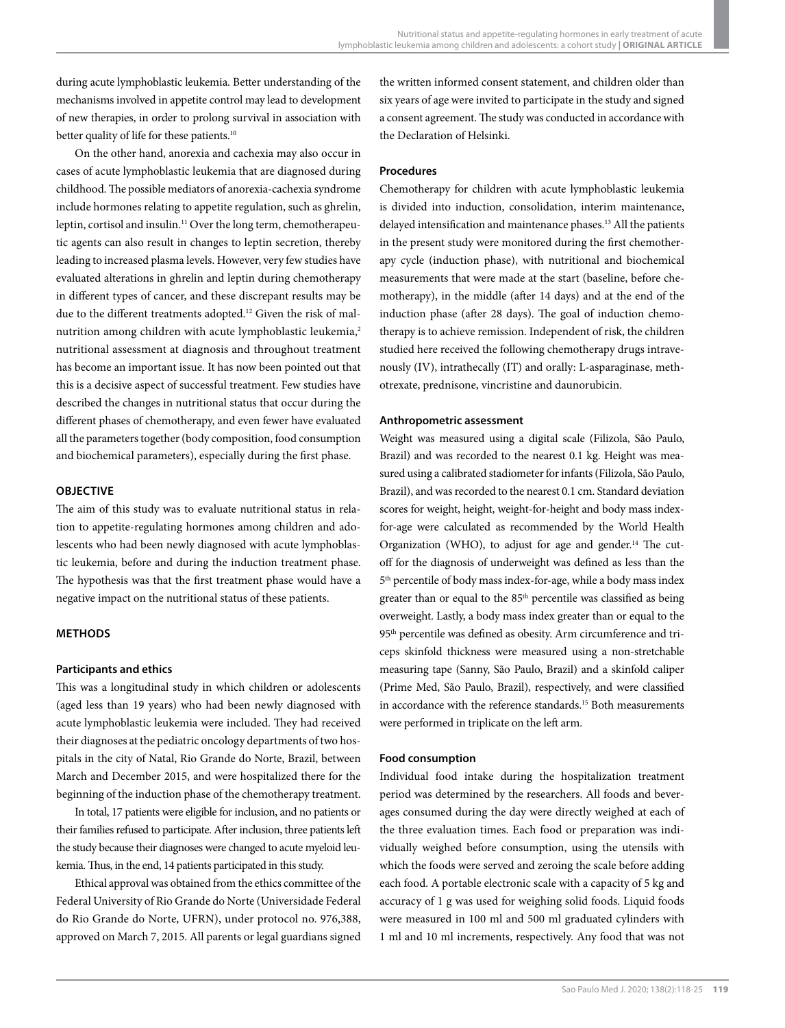during acute lymphoblastic leukemia. Better understanding of the mechanisms involved in appetite control may lead to development of new therapies, in order to prolong survival in association with better quality of life for these patients.<sup>10</sup>

On the other hand, anorexia and cachexia may also occur in cases of acute lymphoblastic leukemia that are diagnosed during childhood. The possible mediators of anorexia-cachexia syndrome include hormones relating to appetite regulation, such as ghrelin, leptin, cortisol and insulin.11 Over the long term, chemotherapeutic agents can also result in changes to leptin secretion, thereby leading to increased plasma levels. However, very few studies have evaluated alterations in ghrelin and leptin during chemotherapy in different types of cancer, and these discrepant results may be due to the different treatments adopted.12 Given the risk of malnutrition among children with acute lymphoblastic leukemia,<sup>2</sup> nutritional assessment at diagnosis and throughout treatment has become an important issue. It has now been pointed out that this is a decisive aspect of successful treatment. Few studies have described the changes in nutritional status that occur during the different phases of chemotherapy, and even fewer have evaluated all the parameters together (body composition, food consumption and biochemical parameters), especially during the first phase.

## **OBJECTIVE**

The aim of this study was to evaluate nutritional status in relation to appetite-regulating hormones among children and adolescents who had been newly diagnosed with acute lymphoblastic leukemia, before and during the induction treatment phase. The hypothesis was that the first treatment phase would have a negative impact on the nutritional status of these patients.

#### **METHODS**

## **Participants and ethics**

This was a longitudinal study in which children or adolescents (aged less than 19 years) who had been newly diagnosed with acute lymphoblastic leukemia were included. They had received their diagnoses at the pediatric oncology departments of two hospitals in the city of Natal, Rio Grande do Norte, Brazil, between March and December 2015, and were hospitalized there for the beginning of the induction phase of the chemotherapy treatment.

In total, 17 patients were eligible for inclusion, and no patients or their families refused to participate. After inclusion, three patients left the study because their diagnoses were changed to acute myeloid leukemia. Thus, in the end, 14 patients participated in this study.

Ethical approval was obtained from the ethics committee of the Federal University of Rio Grande do Norte (Universidade Federal do Rio Grande do Norte, UFRN), under protocol no. 976,388, approved on March 7, 2015. All parents or legal guardians signed the written informed consent statement, and children older than six years of age were invited to participate in the study and signed a consent agreement. The study was conducted in accordance with the Declaration of Helsinki.

## **Procedures**

Chemotherapy for children with acute lymphoblastic leukemia is divided into induction, consolidation, interim maintenance, delayed intensification and maintenance phases.<sup>13</sup> All the patients in the present study were monitored during the first chemotherapy cycle (induction phase), with nutritional and biochemical measurements that were made at the start (baseline, before chemotherapy), in the middle (after 14 days) and at the end of the induction phase (after 28 days). The goal of induction chemotherapy is to achieve remission. Independent of risk, the children studied here received the following chemotherapy drugs intravenously (IV), intrathecally (IT) and orally: L-asparaginase, methotrexate, prednisone, vincristine and daunorubicin.

### **Anthropometric assessment**

Weight was measured using a digital scale (Filizola, São Paulo, Brazil) and was recorded to the nearest 0.1 kg. Height was measured using a calibrated stadiometer for infants (Filizola, São Paulo, Brazil), and was recorded to the nearest 0.1 cm. Standard deviation scores for weight, height, weight-for-height and body mass indexfor-age were calculated as recommended by the World Health Organization (WHO), to adjust for age and gender.<sup>14</sup> The cutoff for the diagnosis of underweight was defined as less than the 5th percentile of body mass index-for-age, while a body mass index greater than or equal to the 85<sup>th</sup> percentile was classified as being overweight. Lastly, a body mass index greater than or equal to the 95<sup>th</sup> percentile was defined as obesity. Arm circumference and triceps skinfold thickness were measured using a non-stretchable measuring tape (Sanny, São Paulo, Brazil) and a skinfold caliper (Prime Med, São Paulo, Brazil), respectively, and were classified in accordance with the reference standards.<sup>15</sup> Both measurements were performed in triplicate on the left arm.

#### **Food consumption**

Individual food intake during the hospitalization treatment period was determined by the researchers. All foods and beverages consumed during the day were directly weighed at each of the three evaluation times. Each food or preparation was individually weighed before consumption, using the utensils with which the foods were served and zeroing the scale before adding each food. A portable electronic scale with a capacity of 5 kg and accuracy of 1 g was used for weighing solid foods. Liquid foods were measured in 100 ml and 500 ml graduated cylinders with 1 ml and 10 ml increments, respectively. Any food that was not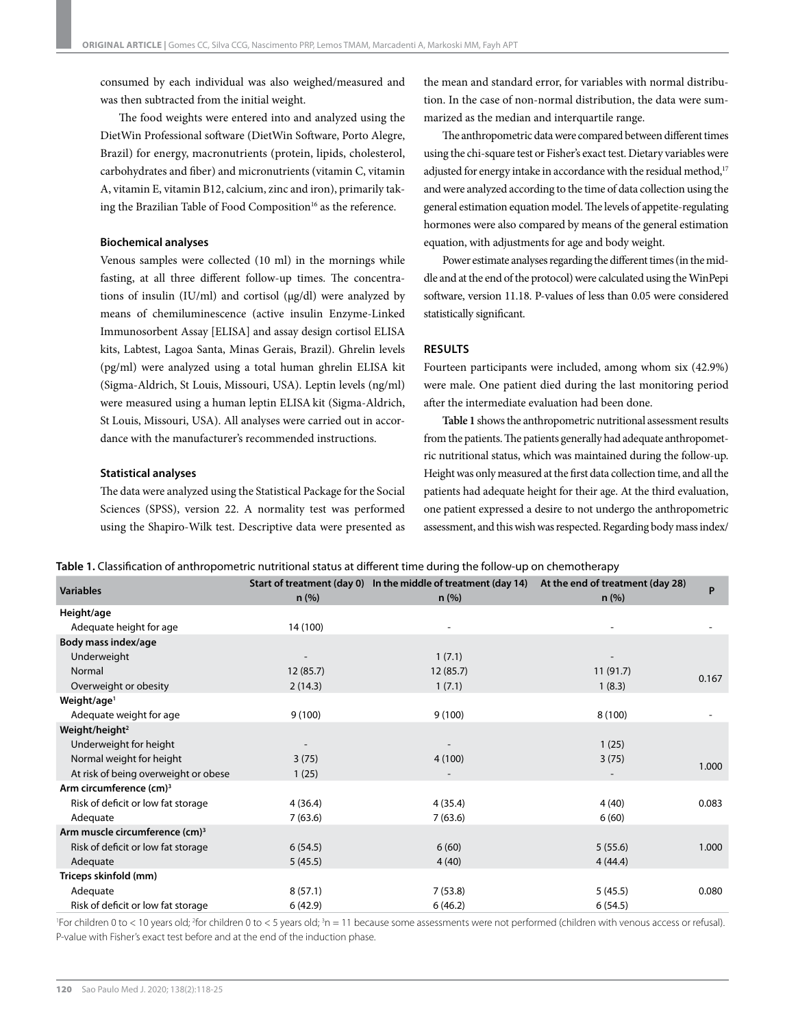consumed by each individual was also weighed/measured and was then subtracted from the initial weight.

The food weights were entered into and analyzed using the DietWin Professional software (DietWin Software, Porto Alegre, Brazil) for energy, macronutrients (protein, lipids, cholesterol, carbohydrates and fiber) and micronutrients (vitamin C, vitamin A, vitamin E, vitamin B12, calcium, zinc and iron), primarily taking the Brazilian Table of Food Composition<sup>16</sup> as the reference.

#### **Biochemical analyses**

Venous samples were collected (10 ml) in the mornings while fasting, at all three different follow-up times. The concentrations of insulin (IU/ml) and cortisol ( $\mu$ g/dl) were analyzed by means of chemiluminescence (active insulin Enzyme-Linked Immunosorbent Assay [ELISA] and assay design cortisol ELISA kits, Labtest, Lagoa Santa, Minas Gerais, Brazil). Ghrelin levels (pg/ml) were analyzed using a total human ghrelin ELISA kit (Sigma-Aldrich, St Louis, Missouri, USA). Leptin levels (ng/ml) were measured using a human leptin ELISAkit (Sigma-Aldrich, St Louis, Missouri, USA). All analyses were carried out in accordance with the manufacturer's recommended instructions.

#### **Statistical analyses**

The data were analyzed using the Statistical Package for the Social Sciences (SPSS), version 22. A normality test was performed using the Shapiro-Wilk test. Descriptive data were presented as the mean and standard error, for variables with normal distribution. In the case of non-normal distribution, the data were summarized as the median and interquartile range.

The anthropometric data were compared between different times using the chi-square test or Fisher's exact test. Dietary variables were adjusted for energy intake in accordance with the residual method,<sup>17</sup> and were analyzed according to the time of data collection using the general estimation equation model. The levels of appetite-regulating hormones were also compared by means of the general estimation equation, with adjustments for age and body weight.

Power estimate analyses regarding the different times (in the middle and at the end of the protocol) were calculated using the WinPepi software, version 11.18. P-values of less than 0.05 were considered statistically significant.

#### **RESULTS**

Fourteen participants were included, among whom six (42.9%) were male. One patient died during the last monitoring period after the intermediate evaluation had been done.

**Table 1** shows the anthropometric nutritional assessment results from the patients. The patients generally had adequate anthropometric nutritional status, which was maintained during the follow-up. Height was only measured at the first data collection time, and all the patients had adequate height for their age. At the third evaluation, one patient expressed a desire to not undergo the anthropometric assessment, and this wish was respected. Regarding body mass index/

|  | <b>Table 1.</b> Classification of anthropometric nutritional status at different time during the follow-up on chemotherapy |  |  |
|--|----------------------------------------------------------------------------------------------------------------------------|--|--|
|  |                                                                                                                            |  |  |

| <b>Variables</b>                           | $n$ (%)  | Start of treatment (day 0) In the middle of treatment (day 14)<br>n (%) | At the end of treatment (day 28)<br>$n$ (%) | P     |
|--------------------------------------------|----------|-------------------------------------------------------------------------|---------------------------------------------|-------|
| Height/age                                 |          |                                                                         |                                             |       |
| Adequate height for age                    | 14 (100) |                                                                         |                                             |       |
| Body mass index/age                        |          |                                                                         |                                             |       |
| Underweight                                |          | 1(7.1)                                                                  |                                             |       |
| Normal                                     | 12(85.7) | 12(85.7)                                                                | 11(91.7)                                    | 0.167 |
| Overweight or obesity                      | 2(14.3)  | 1(7.1)                                                                  | 1(8.3)                                      |       |
| Weight/age <sup>1</sup>                    |          |                                                                         |                                             |       |
| Adequate weight for age                    | 9(100)   | 9(100)                                                                  | 8(100)                                      |       |
| Weight/height <sup>2</sup>                 |          |                                                                         |                                             |       |
| Underweight for height                     |          |                                                                         | 1(25)                                       |       |
| Normal weight for height                   | 3(75)    | 4(100)                                                                  | 3(75)                                       | 1.000 |
| At risk of being overweight or obese       | 1(25)    |                                                                         |                                             |       |
| Arm circumference (cm) <sup>3</sup>        |          |                                                                         |                                             |       |
| Risk of deficit or low fat storage         | 4(36.4)  | 4 (35.4)                                                                | 4(40)                                       | 0.083 |
| Adequate                                   | 7(63.6)  | 7(63.6)                                                                 | 6(60)                                       |       |
| Arm muscle circumference (cm) <sup>3</sup> |          |                                                                         |                                             |       |
| Risk of deficit or low fat storage         | 6(54.5)  | 6(60)                                                                   | 5(55.6)                                     | 1.000 |
| Adequate                                   | 5(45.5)  | 4(40)                                                                   | 4(44.4)                                     |       |
| Triceps skinfold (mm)                      |          |                                                                         |                                             |       |
| Adequate                                   | 8(57.1)  | 7(53.8)                                                                 | 5(45.5)                                     | 0.080 |
| Risk of deficit or low fat storage         | 6(42.9)  | 6(46.2)                                                                 | 6(54.5)                                     |       |

<sup>1</sup> For children 0 to < 10 years old; <sup>2</sup> for children 0 to < 5 years old; <sup>3</sup> n = 11 because some assessments were not performed (children with venous access or refusal). P-value with Fisher's exact test before and at the end of the induction phase.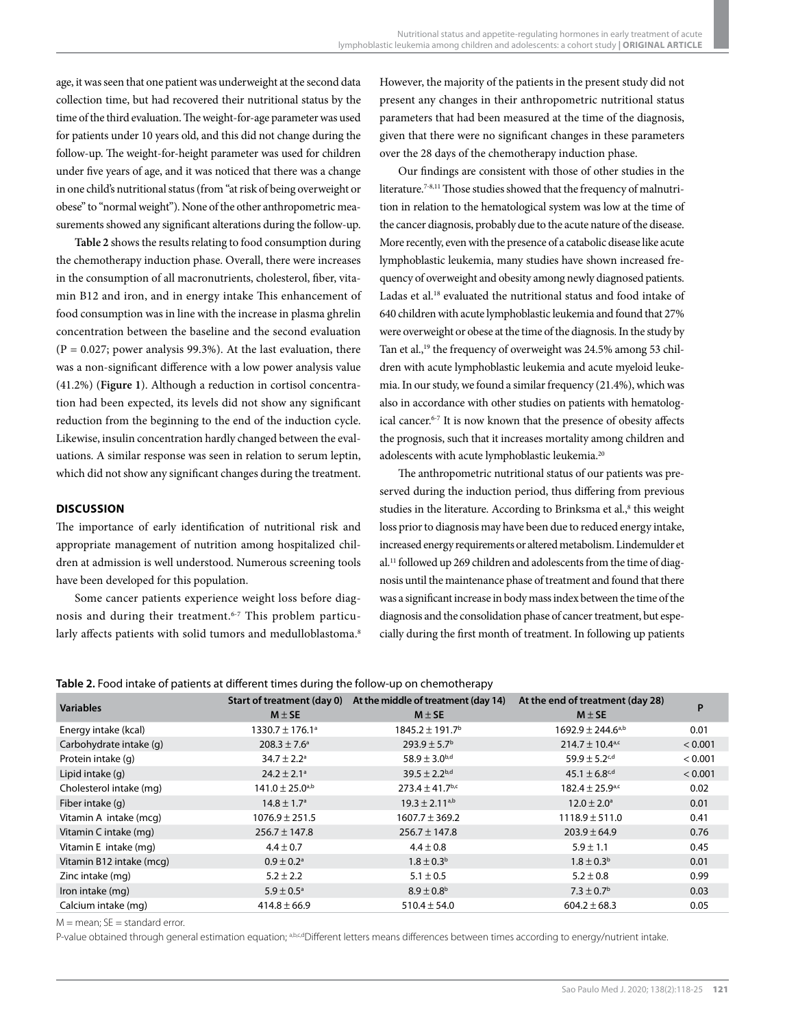age, it was seen that one patient was underweight at the second data collection time, but had recovered their nutritional status by the time of the third evaluation. The weight-for-age parameter was used for patients under 10 years old, and this did not change during the follow-up. The weight-for-height parameter was used for children under five years of age, and it was noticed that there was a change in one child's nutritional status (from "at risk of being overweight or obese" to "normal weight"). None of the other anthropometric measurements showed any significant alterations during the follow-up.

**Table 2** shows the results relating to food consumption during the chemotherapy induction phase. Overall, there were increases in the consumption of all macronutrients, cholesterol, fiber, vitamin B12 and iron, and in energy intake This enhancement of food consumption was in line with the increase in plasma ghrelin concentration between the baseline and the second evaluation  $(P = 0.027$ ; power analysis 99.3%). At the last evaluation, there was a non-significant difference with a low power analysis value (41.2%) (**Figure 1**). Although a reduction in cortisol concentration had been expected, its levels did not show any significant reduction from the beginning to the end of the induction cycle. Likewise, insulin concentration hardly changed between the evaluations. A similar response was seen in relation to serum leptin, which did not show any significant changes during the treatment.

## **DISCUSSION**

The importance of early identification of nutritional risk and appropriate management of nutrition among hospitalized children at admission is well understood. Numerous screening tools have been developed for this population.

Some cancer patients experience weight loss before diagnosis and during their treatment.6-7 This problem particularly affects patients with solid tumors and medulloblastoma.<sup>8</sup> However, the majority of the patients in the present study did not present any changes in their anthropometric nutritional status parameters that had been measured at the time of the diagnosis, given that there were no significant changes in these parameters over the 28 days of the chemotherapy induction phase.

Our findings are consistent with those of other studies in the literature.<sup>7-8,11</sup> Those studies showed that the frequency of malnutrition in relation to the hematological system was low at the time of the cancer diagnosis, probably due to the acute nature of the disease. More recently, even with the presence of a catabolic disease like acute lymphoblastic leukemia, many studies have shown increased frequency of overweight and obesity among newly diagnosed patients. Ladas et al.<sup>18</sup> evaluated the nutritional status and food intake of 640 children with acute lymphoblastic leukemia and found that 27% were overweight or obese at the time of the diagnosis. In the study by Tan et al.,<sup>19</sup> the frequency of overweight was 24.5% among 53 children with acute lymphoblastic leukemia and acute myeloid leukemia. In our study, we found a similar frequency (21.4%), which was also in accordance with other studies on patients with hematological cancer.6-7 It is now known that the presence of obesity affects the prognosis, such that it increases mortality among children and adolescents with acute lymphoblastic leukemia.<sup>20</sup>

The anthropometric nutritional status of our patients was preserved during the induction period, thus differing from previous studies in the literature. According to Brinksma et al.,<sup>8</sup> this weight loss prior to diagnosis may have been due to reduced energy intake, increased energy requirements or altered metabolism. Lindemulder et al.11 followed up 269 children and adolescents from the time of diagnosis until the maintenance phase of treatment and found that there was a significant increase in body mass index between the time of the diagnosis and the consolidation phase of cancer treatment, but especially during the first month of treatment. In following up patients

#### **Table 2.** Food intake of patients at different times during the follow-up on chemotherapy

| <b>Variables</b>         | Start of treatment (day 0)      | At the middle of treatment (day 14) | At the end of treatment (day 28)  | P       |
|--------------------------|---------------------------------|-------------------------------------|-----------------------------------|---------|
|                          | $M \pm SE$                      | $M \pm SE$                          | $M \pm SE$                        |         |
| Energy intake (kcal)     | $1330.7 \pm 176.1^{\circ}$      | $1845.2 \pm 191.7$ <sup>b</sup>     | $1692.9 \pm 244.6$ <sup>a,b</sup> | 0.01    |
| Carbohydrate intake (g)  | $208.3 \pm 7.6^{\circ}$         | $293.9 \pm 5.7^{\rm b}$             | $214.7 \pm 10.4^{\text{a,c}}$     | < 0.001 |
| Protein intake (q)       | $34.7 \pm 2.2^{\circ}$          | 58.9 $\pm$ 3.0 <sup>b,d</sup>       | $59.9 + 5.2$ <sup>c,d</sup>       | < 0.001 |
| Lipid intake (g)         | $24.2 \pm 2.1^{\circ}$          | $39.5 \pm 2.2^{b,d}$                | $45.1 \pm 6.8$ c,d                | < 0.001 |
| Cholesterol intake (mg)  | $141.0 \pm 25.0$ <sup>a,b</sup> | $273.4 \pm 41.7$ <sup>b,c</sup>     | $182.4 \pm 25.9^{\text{a,c}}$     | 0.02    |
| Fiber intake (g)         | $14.8 \pm 1.7^{\circ}$          | $19.3 \pm 2.11^{a,b}$               | $12.0 \pm 2.0^{\circ}$            | 0.01    |
| Vitamin A intake (mcg)   | $1076.9 \pm 251.5$              | $1607.7 \pm 369.2$                  | $1118.9 \pm 511.0$                | 0.41    |
| Vitamin C intake (mg)    | $256.7 \pm 147.8$               | $256.7 \pm 147.8$                   | $203.9 \pm 64.9$                  | 0.76    |
| Vitamin E intake (mg)    | $4.4 \pm 0.7$                   | $4.4 \pm 0.8$                       | $5.9 \pm 1.1$                     | 0.45    |
| Vitamin B12 intake (mcg) | $0.9 \pm 0.2$ <sup>a</sup>      | $1.8 \pm 0.3^{\rm b}$               | $1.8 \pm 0.3^{\rm b}$             | 0.01    |
| Zinc intake (mg)         | $5.2 \pm 2.2$                   | $5.1 \pm 0.5$                       | $5.2 \pm 0.8$                     | 0.99    |
| Iron intake (mg)         | $5.9 \pm 0.5^{\circ}$           | $8.9 \pm 0.8^{\rm b}$               | $7.3 \pm 0.7$ <sup>b</sup>        | 0.03    |
| Calcium intake (mg)      | $414.8 \pm 66.9$                | $510.4 \pm 54.0$                    | $604.2 \pm 68.3$                  | 0.05    |

 $M =$  mean:  $SE =$  standard error.

P-value obtained through general estimation equation; abcdDifferent letters means differences between times according to energy/nutrient intake.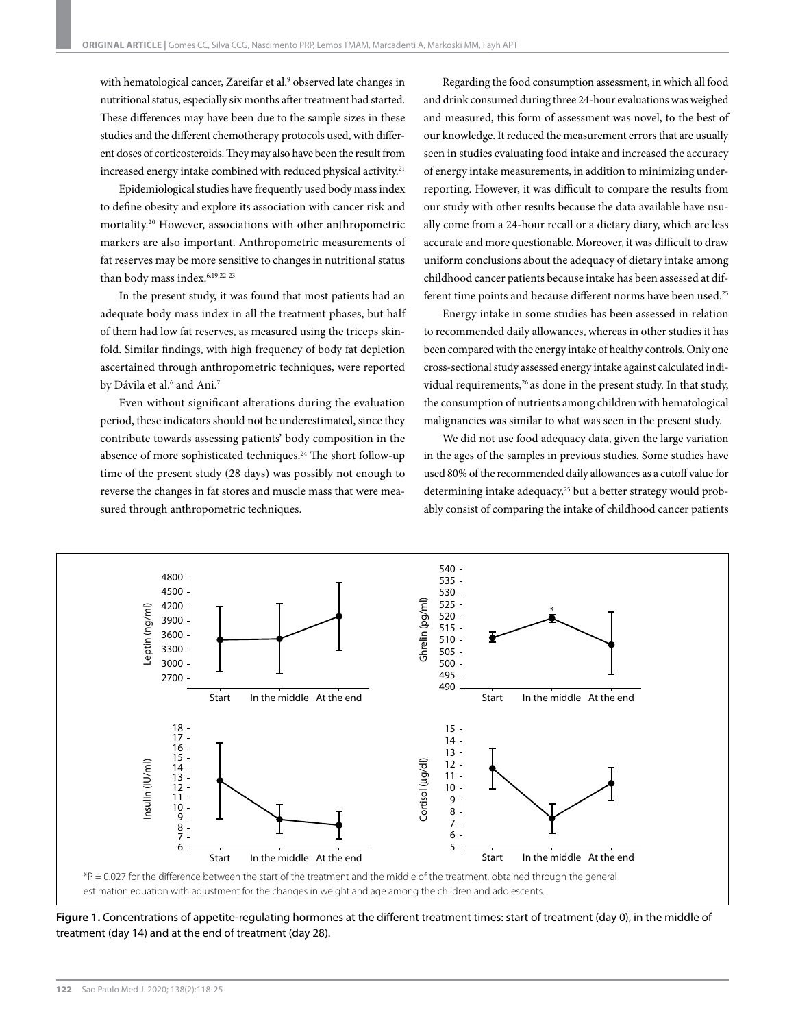with hematological cancer, Zareifar et al.<sup>9</sup> observed late changes in nutritional status, especially six months after treatment had started. These differences may have been due to the sample sizes in these studies and the different chemotherapy protocols used, with different doses of corticosteroids. They may also have been the result from increased energy intake combined with reduced physical activity.<sup>21</sup>

Epidemiological studies have frequently used body mass index to define obesity and explore its association with cancer risk and mortality.20 However, associations with other anthropometric markers are also important. Anthropometric measurements of fat reserves may be more sensitive to changes in nutritional status than body mass index.<sup>6,19,22-23</sup>

In the present study, it was found that most patients had an adequate body mass index in all the treatment phases, but half of them had low fat reserves, as measured using the triceps skinfold. Similar findings, with high frequency of body fat depletion ascertained through anthropometric techniques, were reported by Dávila et al.<sup>6</sup> and Ani.<sup>7</sup>

Even without significant alterations during the evaluation period, these indicators should not be underestimated, since they contribute towards assessing patients' body composition in the absence of more sophisticated techniques.24 The short follow-up time of the present study (28 days) was possibly not enough to reverse the changes in fat stores and muscle mass that were measured through anthropometric techniques.

Regarding the food consumption assessment, in which all food and drink consumed during three 24-hour evaluations was weighed and measured, this form of assessment was novel, to the best of our knowledge. It reduced the measurement errors that are usually seen in studies evaluating food intake and increased the accuracy of energy intake measurements, in addition to minimizing underreporting. However, it was difficult to compare the results from our study with other results because the data available have usually come from a 24-hour recall or a dietary diary, which are less accurate and more questionable. Moreover, it was difficult to draw uniform conclusions about the adequacy of dietary intake among childhood cancer patients because intake has been assessed at different time points and because different norms have been used.<sup>25</sup>

Energy intake in some studies has been assessed in relation to recommended daily allowances, whereas in other studies it has been compared with the energy intake of healthy controls. Only one cross-sectional study assessed energy intake against calculated individual requirements,<sup>26</sup> as done in the present study. In that study, the consumption of nutrients among children with hematological malignancies was similar to what was seen in the present study.

We did not use food adequacy data, given the large variation in the ages of the samples in previous studies. Some studies have used 80% of the recommended daily allowances as a cutoff value for determining intake adequacy,<sup>25</sup> but a better strategy would probably consist of comparing the intake of childhood cancer patients



**Figure 1.** Concentrations of appetite-regulating hormones at the different treatment times: start of treatment (day 0), in the middle of treatment (day 14) and at the end of treatment (day 28).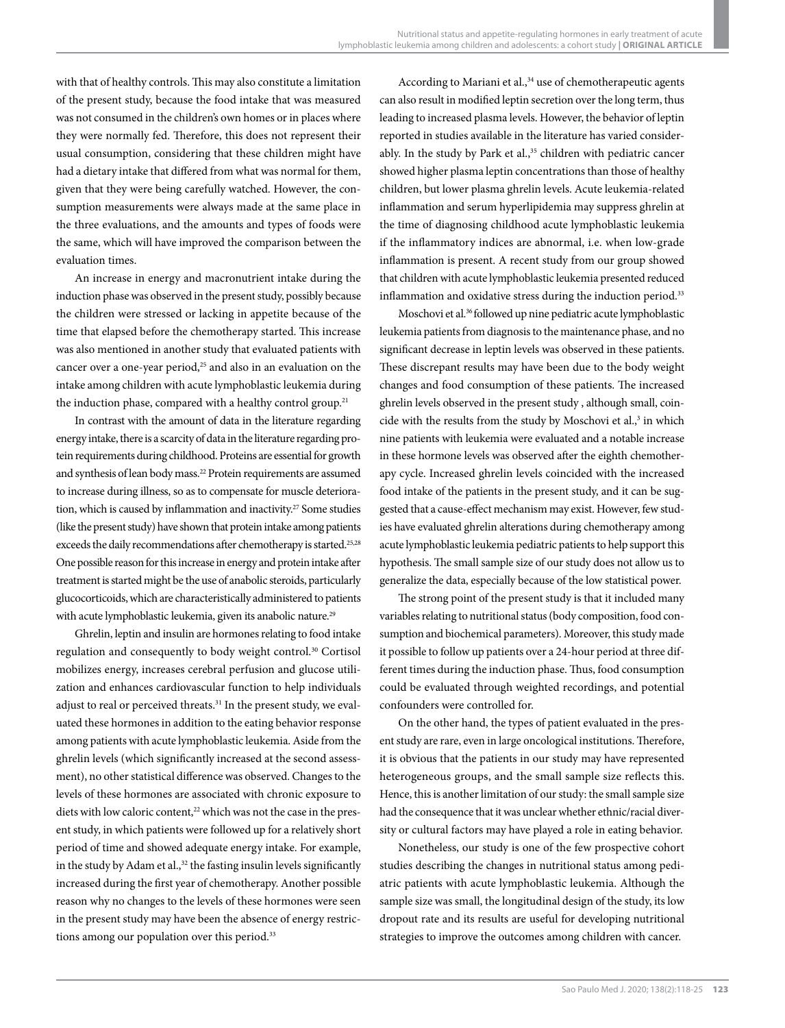with that of healthy controls. This may also constitute a limitation of the present study, because the food intake that was measured was not consumed in the children's own homes or in places where they were normally fed. Therefore, this does not represent their usual consumption, considering that these children might have had a dietary intake that differed from what was normal for them, given that they were being carefully watched. However, the consumption measurements were always made at the same place in the three evaluations, and the amounts and types of foods were the same, which will have improved the comparison between the evaluation times.

An increase in energy and macronutrient intake during the induction phase was observed in the present study, possibly because the children were stressed or lacking in appetite because of the time that elapsed before the chemotherapy started. This increase was also mentioned in another study that evaluated patients with cancer over a one-year period,<sup>25</sup> and also in an evaluation on the intake among children with acute lymphoblastic leukemia during the induction phase, compared with a healthy control group.<sup>21</sup>

In contrast with the amount of data in the literature regarding energy intake, there is a scarcity of data in the literature regarding protein requirements during childhood. Proteins are essential for growth and synthesis of lean body mass.22 Protein requirements are assumed to increase during illness, so as to compensate for muscle deterioration, which is caused by inflammation and inactivity.<sup>27</sup> Some studies (like the present study) have shown that protein intake among patients exceeds the daily recommendations after chemotherapy is started.<sup>25,28</sup> One possible reason for this increase in energy and protein intake after treatment is started might be the use of anabolic steroids, particularly glucocorticoids, which are characteristically administered to patients with acute lymphoblastic leukemia, given its anabolic nature.<sup>29</sup>

Ghrelin, leptin and insulin are hormones relating to food intake regulation and consequently to body weight control.30 Cortisol mobilizes energy, increases cerebral perfusion and glucose utilization and enhances cardiovascular function to help individuals adjust to real or perceived threats.<sup>31</sup> In the present study, we evaluated these hormones in addition to the eating behavior response among patients with acute lymphoblastic leukemia. Aside from the ghrelin levels (which significantly increased at the second assessment), no other statistical difference was observed. Changes to the levels of these hormones are associated with chronic exposure to diets with low caloric content,<sup>22</sup> which was not the case in the present study, in which patients were followed up for a relatively short period of time and showed adequate energy intake. For example, in the study by Adam et al.,<sup>32</sup> the fasting insulin levels significantly increased during the first year of chemotherapy. Another possible reason why no changes to the levels of these hormones were seen in the present study may have been the absence of energy restrictions among our population over this period.<sup>33</sup>

According to Mariani et al.,<sup>34</sup> use of chemotherapeutic agents can also result in modified leptin secretion over the long term, thus leading to increased plasma levels. However, the behavior of leptin reported in studies available in the literature has varied considerably. In the study by Park et al.,<sup>35</sup> children with pediatric cancer showed higher plasma leptin concentrations than those of healthy children, but lower plasma ghrelin levels. Acute leukemia-related inflammation and serum hyperlipidemia may suppress ghrelin at the time of diagnosing childhood acute lymphoblastic leukemia if the inflammatory indices are abnormal, i.e. when low-grade inflammation is present. A recent study from our group showed that children with acute lymphoblastic leukemia presented reduced inflammation and oxidative stress during the induction period.<sup>33</sup>

Moschovi et al.36 followed up nine pediatric acute lymphoblastic leukemia patients from diagnosis to the maintenance phase, and no significant decrease in leptin levels was observed in these patients. These discrepant results may have been due to the body weight changes and food consumption of these patients. The increased ghrelin levels observed in the present study , although small, coincide with the results from the study by Moschovi et al.,<sup>3</sup> in which nine patients with leukemia were evaluated and a notable increase in these hormone levels was observed after the eighth chemotherapy cycle. Increased ghrelin levels coincided with the increased food intake of the patients in the present study, and it can be suggested that a cause-effect mechanism may exist. However, few studies have evaluated ghrelin alterations during chemotherapy among acute lymphoblastic leukemia pediatric patients to help support this hypothesis. The small sample size of our study does not allow us to generalize the data, especially because of the low statistical power.

The strong point of the present study is that it included many variables relating to nutritional status (body composition, food consumption and biochemical parameters). Moreover, this study made it possible to follow up patients over a 24-hour period at three different times during the induction phase. Thus, food consumption could be evaluated through weighted recordings, and potential confounders were controlled for.

On the other hand, the types of patient evaluated in the present study are rare, even in large oncological institutions. Therefore, it is obvious that the patients in our study may have represented heterogeneous groups, and the small sample size reflects this. Hence, this is another limitation of our study: the small sample size had the consequence that it was unclear whether ethnic/racial diversity or cultural factors may have played a role in eating behavior.

Nonetheless, our study is one of the few prospective cohort studies describing the changes in nutritional status among pediatric patients with acute lymphoblastic leukemia. Although the sample size was small, the longitudinal design of the study, its low dropout rate and its results are useful for developing nutritional strategies to improve the outcomes among children with cancer.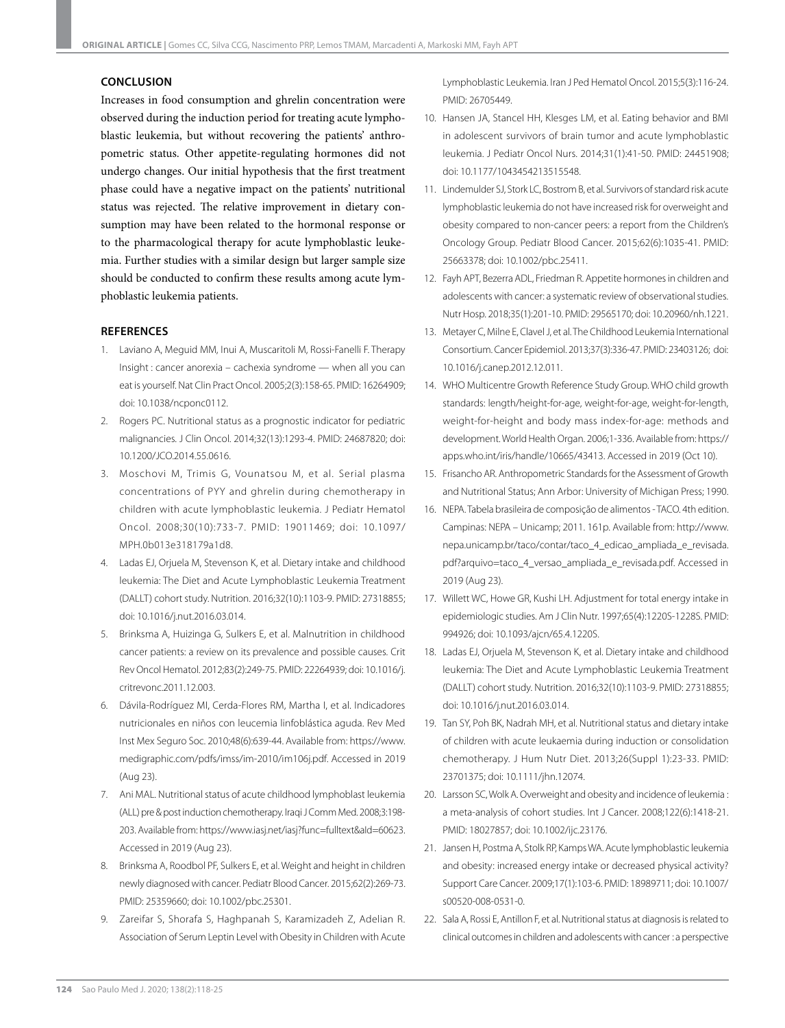#### **CONCLUSION**

Increases in food consumption and ghrelin concentration were observed during the induction period for treating acute lymphoblastic leukemia, but without recovering the patients' anthropometric status. Other appetite-regulating hormones did not undergo changes. Our initial hypothesis that the first treatment phase could have a negative impact on the patients' nutritional status was rejected. The relative improvement in dietary consumption may have been related to the hormonal response or to the pharmacological therapy for acute lymphoblastic leukemia. Further studies with a similar design but larger sample size should be conducted to confirm these results among acute lymphoblastic leukemia patients.

#### **REFERENCES**

- 1. Laviano A, Meguid MM, Inui A, Muscaritoli M, Rossi-Fanelli F. Therapy Insight : cancer anorexia – cachexia syndrome — when all you can eat is yourself. Nat Clin Pract Oncol. 2005;2(3):158-65. PMID: 16264909; doi: [10.1038/ncponc0112.](https://doi.org/10.1038/ncponc0112)
- 2. Rogers PC. Nutritional status as a prognostic indicator for pediatric malignancies. J Clin Oncol. 2014;32(13):1293-4. PMID: 24687820; doi: [10.1200/JCO.2014.55.0616.](https://doi.org/10.1200/JCO.2014.55.0616)
- 3. Moschovi M, Trimis G, Vounatsou M, et al. Serial plasma concentrations of PYY and ghrelin during chemotherapy in children with acute lymphoblastic leukemia. J Pediatr Hematol Oncol. 2008;30(10):733-7. PMID: 19011469; doi: [10.1097/](https://doi.org/10.1097/MPH.0b013e318179a1d8) [MPH.0b013e318179a1d8](https://doi.org/10.1097/MPH.0b013e318179a1d8).
- 4. Ladas EJ, Orjuela M, Stevenson K, et al. Dietary intake and childhood leukemia: The Diet and Acute Lymphoblastic Leukemia Treatment (DALLT) cohort study. Nutrition. 2016;32(10):1103-9. PMID: 27318855; doi: [10.1016/j.nut.2016.03.014](https://doi.org/10.1016/j.nut.2016.03.014).
- 5. Brinksma A, Huizinga G, Sulkers E, et al. Malnutrition in childhood cancer patients: a review on its prevalence and possible causes. Crit Rev Oncol Hematol. 2012;83(2):249-75. PMID: 22264939; doi: [10.1016/j.](https://doi.org/10.1016/j.critrevonc.2011.12.003) [critrevonc.2011.12.003.](https://doi.org/10.1016/j.critrevonc.2011.12.003)
- 6. Dávila-Rodríguez MI, Cerda-Flores RM, Martha I, et al. Indicadores nutricionales en niños con leucemia linfoblástica aguda. Rev Med Inst Mex Seguro Soc. 2010;48(6):639-44. Available from: [https://www.](https://www.medigraphic.com/pdfs/imss/im-2010/im106j.pdf) [medigraphic.com/pdfs/imss/im-2010/im106j.pdf.](https://www.medigraphic.com/pdfs/imss/im-2010/im106j.pdf) Accessed in 2019 (Aug 23).
- 7. Ani MAL. Nutritional status of acute childhood lymphoblast leukemia (ALL) pre & post induction chemotherapy. Iraqi J Comm Med. 2008;3:198- 203. Available from:<https://www.iasj.net/iasj?func=fulltext&aId=60623>. Accessed in 2019 (Aug 23).
- 8. Brinksma A, Roodbol PF, Sulkers E, et al. Weight and height in children newly diagnosed with cancer. Pediatr Blood Cancer. 2015;62(2):269-73. PMID: 25359660; doi: [10.1002/pbc.25301](https://doi.org/10.1002/pbc.25301).
- 9. Zareifar S, Shorafa S, Haghpanah S, Karamizadeh Z, Adelian R. Association of Serum Leptin Level with Obesity in Children with Acute

Lymphoblastic Leukemia. Iran J Ped Hematol Oncol. 2015;5(3):116-24. PMID: 26705449.

- 10. Hansen JA, Stancel HH, Klesges LM, et al. Eating behavior and BMI in adolescent survivors of brain tumor and acute lymphoblastic leukemia. J Pediatr Oncol Nurs. 2014;31(1):41-50. PMID: 24451908; doi: [10.1177/1043454213515548](https://doi.org/10.1177/1043454213515548).
- 11. Lindemulder SJ, Stork LC, Bostrom B, et al. Survivors of standard risk acute lymphoblastic leukemia do not have increased risk for overweight and obesity compared to non-cancer peers: a report from the Children's Oncology Group. Pediatr Blood Cancer. 2015;62(6):1035-41. PMID: 25663378; doi: [10.1002/pbc.25411.](https://doi.org/10.1002/pbc.25411)
- 12. Fayh APT, Bezerra ADL, Friedman R. Appetite hormones in children and adolescents with cancer: a systematic review of observational studies. Nutr Hosp. 2018;35(1):201-10. PMID: 29565170; doi: [10.20960/nh.1221](https://doi.org/10.20960/nh.1221).
- 13. Metayer C, Milne E, Clavel J, et al. The Childhood Leukemia International Consortium. Cancer Epidemiol. 2013;37(3):336-47. PMID: 23403126; doi: [10.1016/j.canep.2012.12.011](https://doi.org/10.1016/j.canep.2012.12.011).
- 14. WHO Multicentre Growth Reference Study Group. WHO child growth standards: length/height-for-age, weight-for-age, weight-for-length, weight-for-height and body mass index-for-age: methods and development. World Health Organ. 2006;1-336. Available from: [https://](https://apps.who.int/iris/handle/10665/43413) [apps.who.int/iris/handle/10665/43413.](https://apps.who.int/iris/handle/10665/43413) Accessed in 2019 (Oct 10).
- 15. Frisancho AR. Anthropometric Standards for the Assessment of Growth and Nutritional Status; Ann Arbor: University of Michigan Press; 1990.
- 16. NEPA. Tabela brasileira de composição de alimentos TACO. 4th edition. Campinas: NEPA – Unicamp; 2011. 161p. Available from: [http://www.](http://www.nepa.unicamp.br/taco/contar/taco_4_edicao_ampliada_e_revisada.pdf?arquivo=taco_4_versao_ampliada_e_revisada.pdf) [nepa.unicamp.br/taco/contar/taco\\_4\\_edicao\\_ampliada\\_e\\_revisada.](http://www.nepa.unicamp.br/taco/contar/taco_4_edicao_ampliada_e_revisada.pdf?arquivo=taco_4_versao_ampliada_e_revisada.pdf) [pdf?arquivo=taco\\_4\\_versao\\_ampliada\\_e\\_revisada.pdf.](http://www.nepa.unicamp.br/taco/contar/taco_4_edicao_ampliada_e_revisada.pdf?arquivo=taco_4_versao_ampliada_e_revisada.pdf) Accessed in 2019 (Aug 23).
- 17. Willett WC, Howe GR, Kushi LH. Adjustment for total energy intake in epidemiologic studies. Am J Clin Nutr. 1997;65(4):1220S-1228S. PMID: 994926; doi: [10.1093/ajcn/65.4.1220S](https://doi.org/10.1093/ajcn/65.4.1220S).
- 18. Ladas EJ, Orjuela M, Stevenson K, et al. Dietary intake and childhood leukemia: The Diet and Acute Lymphoblastic Leukemia Treatment (DALLT) cohort study. Nutrition. 2016;32(10):1103-9. PMID: 27318855; doi: [10.1016/j.nut.2016.03.014](https://doi.org/10.1016/j.nut.2016.03.014).
- 19. Tan SY, Poh BK, Nadrah MH, et al. Nutritional status and dietary intake of children with acute leukaemia during induction or consolidation chemotherapy. J Hum Nutr Diet. 2013;26(Suppl 1):23-33. PMID: 23701375; doi: [10.1111/jhn.12074.](https://onlinelibrary.wiley.com/doi/full/10.1111/jhn.12074)
- 20. Larsson SC, Wolk A. Overweight and obesity and incidence of leukemia : a meta-analysis of cohort studies. Int J Cancer. 2008;122(6):1418-21. PMID: 18027857; doi: [10.1002/ijc.23176](https://doi.org/10.1002/ijc.23176).
- 21. Jansen H, Postma A, Stolk RP, Kamps WA. Acute lymphoblastic leukemia and obesity: increased energy intake or decreased physical activity? Support Care Cancer. 2009;17(1):103-6. PMID: 18989711; doi: [10.1007/](https://doi.org/10.1007/s00520-008-0531-0) [s00520-008-0531-0.](https://doi.org/10.1007/s00520-008-0531-0)
- 22. Sala A, Rossi E, Antillon F, et al. Nutritional status at diagnosis is related to clinical outcomes in children and adolescents with cancer : a perspective